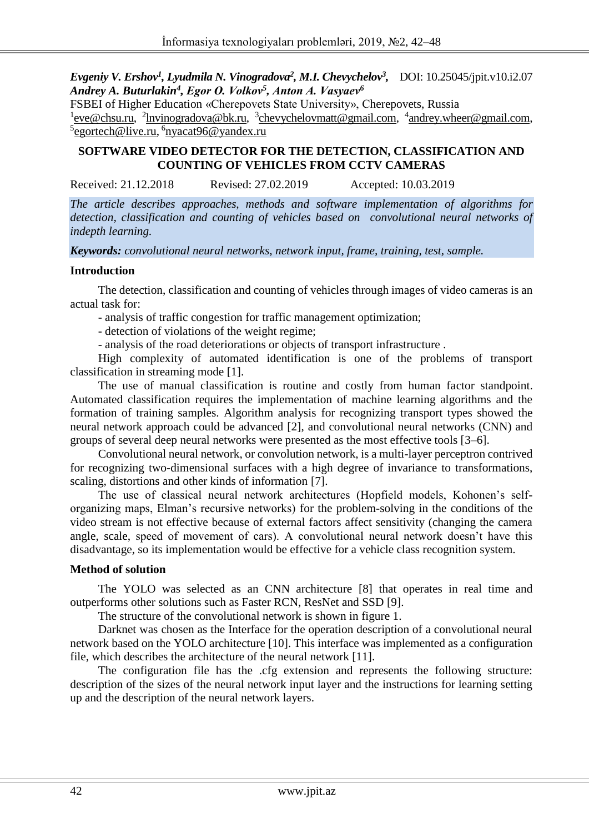*Evgeniy V. Ershov<sup>1</sup> , Lyudmila N. Vinogradova<sup>2</sup> , M.I. Chevychelov<sup>3</sup> ,* DOI: 10.25045/jpit.v10.i2.07 *Andrey A. Buturlakin<sup>4</sup> , Еgor О. Volkov<sup>5</sup> , Аnton А. Vasyaev<sup>6</sup>*

FSBEI of Higher Education «Cherepovets State University», Cherepovets, Russia <sup>1</sup> eve@chsu.ru, <sup>2</sup> lnvinogradova@bk.ru, <sup>3</sup> chevychelovmatt@gmail.com, <sup>4</sup> andrey.wheer@gmail.com, <sup>5</sup>[egortech@live.ru,](mailto:egortech@live.ru) <sup>6</sup>[nyacat96@yandex.ru](mailto:nyacat96@yandex.ru)

## **SOFTWARE VIDEO DETECTOR FOR THE DETECTION, CLASSIFICATION AND COUNTING OF VEHICLES FROM CCTV CAMERAS**

Received: 21.12.2018 Revised: 27.02.2019 Accepted: 10.03.2019

*The article describes approaches, methods and software implementation of algorithms for detection, classification and counting of vehicles based on convolutional neural networks of indepth learning.*

*Keywords: convolutional neural networks, network input, frame, training, test, sample.*

#### **Introduction**

The detection, classification and counting of vehicles through images of video cameras is an actual task for:

- analysis of traffic congestion for traffic management optimization;

- detection of violations of the weight regime;

- analysis of the road deteriorations or objects of transport infrastructure .

High complexity of automated identification is one of the problems of transport classification in streaming mode [1].

The use of manual classification is routine and costly from human factor standpoint. Automated classification requires the implementation of machine learning algorithms and the formation of training samples. Algorithm analysis for recognizing transport types showed the neural network approach could be advanced [2], and convolutional neural networks (CNN) and groups of several deep neural networks were presented as the most effective tools [3–6].

Convolutional neural network, or convolution network, is a multi-layer perceptron contrived for recognizing two-dimensional surfaces with a high degree of invariance to transformations, scaling, distortions and other kinds of information [7].

The use of classical neural network architectures (Hopfield models, Kohonen's selforganizing maps, Elman's recursive networks) for the problem-solving in the conditions of the video stream is not effective because of external factors affect sensitivity (changing the camera angle, scale, speed of movement of cars). A convolutional neural network doesn't have this disadvantage, so its implementation would be effective for a vehicle class recognition system.

### **Method of solution**

The YOLO was selected as an CNN architecture [8] that operates in real time and outperforms other solutions such as Faster RCN, ResNet and SSD [9].

The structure of the convolutional network is shown in figure 1.

Darknet was chosen as the Interface for the operation description of a convolutional neural network based on the YOLO architecture [10]. This interface was implemented as a configuration file, which describes the architecture of the neural network [11].

The configuration file has the .cfg extension and represents the following structure: description of the sizes of the neural network input layer and the instructions for learning setting up and the description of the neural network layers.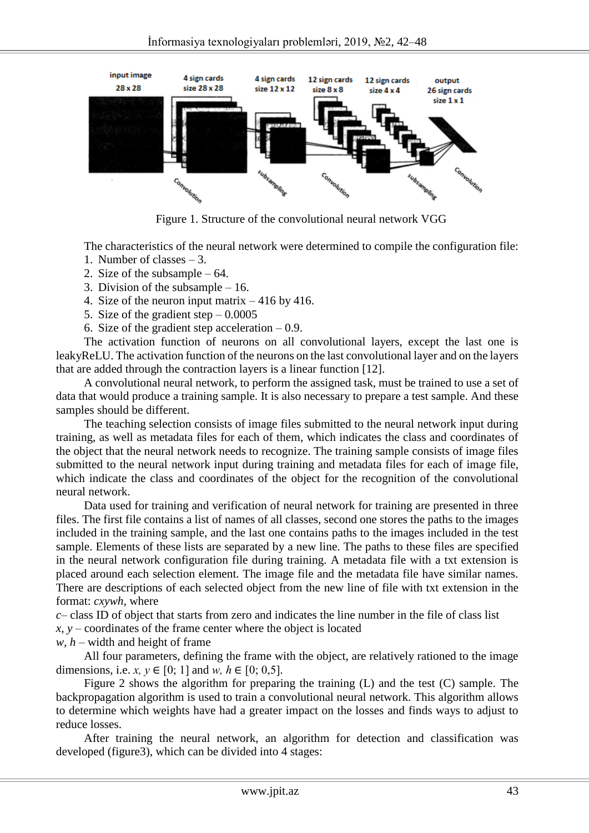

Figure 1. Structure of the convolutional neural network VGG

The characteristics of the neural network were determined to compile the configuration file:

- 1. Number of classes 3.
- 2. Size of the subsample 64.
- 3. Division of the subsample 16.
- 4. Size of the neuron input matrix 416 by 416.
- 5. Size of the gradient step  $-0.0005$
- 6. Size of the gradient step acceleration  $-0.9$ .

The activation function of neurons on all convolutional layers, except the last one is leakyReLU. The activation function of the neurons on the last convolutional layer and on the layers that are added through the contraction layers is a linear function [12].

A convolutional neural network, to perform the assigned task, must be trained to use a set of data that would produce a training sample. It is also necessary to prepare a test sample. And these samples should be different.

The teaching selection consists of image files submitted to the neural network input during training, as well as metadata files for each of them, which indicates the class and coordinates of the object that the neural network needs to recognize. The training sample consists of image files submitted to the neural network input during training and metadata files for each of image file, which indicate the class and coordinates of the object for the recognition of the convolutional neural network.

Data used for training and verification of neural network for training are presented in three files. The first file contains a list of names of all classes, second one stores the paths to the images included in the training sample, and the last one contains paths to the images included in the test sample. Elements of these lists are separated by a new line. The paths to these files are specified in the neural network configuration file during training. A metadata file with a txt extension is placed around each selection element. The image file and the metadata file have similar names. There are descriptions of each selected object from the new line of file with txt extension in the format: *cxywh*, where

*c–* class ID of object that starts from zero and indicates the line number in the file of class list *x, y –* coordinates of the frame center where the object is located

*w, h –* width and height of frame

All four parameters, defining the frame with the object, are relatively rationed to the image dimensions, i.e. *x*,  $y \in [0; 1]$  and *w*,  $h \in [0; 0.5]$ .

Figure 2 shows the algorithm for preparing the training (L) and the test (C) sample. The backpropagation algorithm is used to train a convolutional neural network. This algorithm allows to determine which weights have had a greater impact on the losses and finds ways to adjust to reduce losses.

After training the neural network, an algorithm for detection and classification was developed (figure3), which can be divided into 4 stages: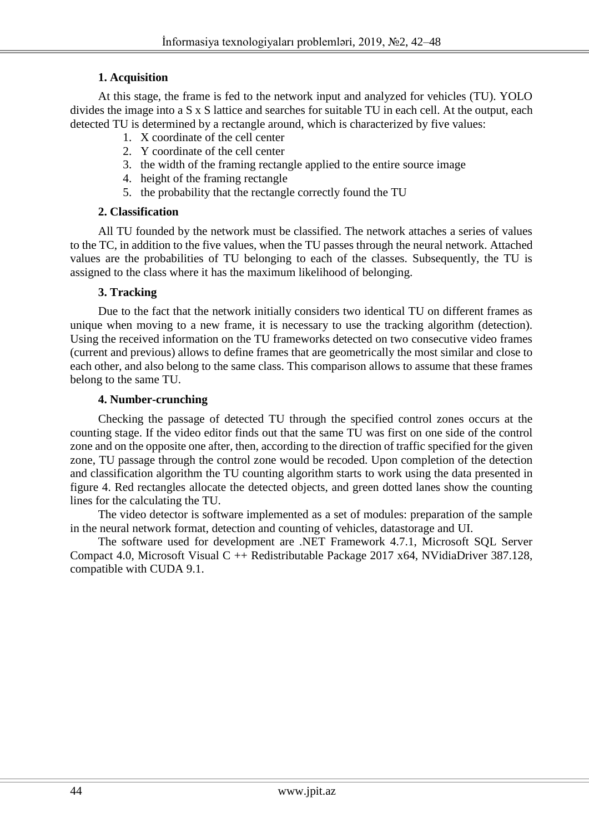## **1. Acquisition**

At this stage, the frame is fed to the network input and analyzed for vehicles (TU). YOLO divides the image into a S x S lattice and searches for suitable TU in each cell. At the output, each detected TU is determined by a rectangle around, which is characterized by five values:

- 1. X coordinate of the cell center
- 2. Y coordinate of the cell center
- 3. the width of the framing rectangle applied to the entire source image
- 4. height of the framing rectangle
- 5. the probability that the rectangle correctly found the TU

## **2. Classification**

All TU founded by the network must be classified. The network attaches a series of values to the TC, in addition to the five values, when the TU passes through the neural network. Attached values are the probabilities of TU belonging to each of the classes. Subsequently, the TU is assigned to the class where it has the maximum likelihood of belonging.

### **3. Tracking**

Due to the fact that the network initially considers two identical TU on different frames as unique when moving to a new frame, it is necessary to use the tracking algorithm (detection). Using the received information on the TU frameworks detected on two consecutive video frames (current and previous) allows to define frames that are geometrically the most similar and close to each other, and also belong to the same class. This comparison allows to assume that these frames belong to the same TU.

### **4. Number-crunching**

Checking the passage of detected TU through the specified control zones occurs at the counting stage. If the video editor finds out that the same TU was first on one side of the control zone and on the opposite one after, then, according to the direction of traffic specified for the given zone, TU passage through the control zone would be recoded. Upon completion of the detection and classification algorithm the TU counting algorithm starts to work using the data presented in figure 4. Red rectangles allocate the detected objects, and green dotted lanes show the counting lines for the calculating the TU.

The video detector is software implemented as a set of modules: preparation of the sample in the neural network format, detection and counting of vehicles, datastorage and UI.

The software used for development are .NET Framework 4.7.1, Microsoft SQL Server Compact 4.0, Microsoft Visual C ++ Redistributable Package 2017 x64, NVidiaDriver 387.128, compatible with CUDA 9.1.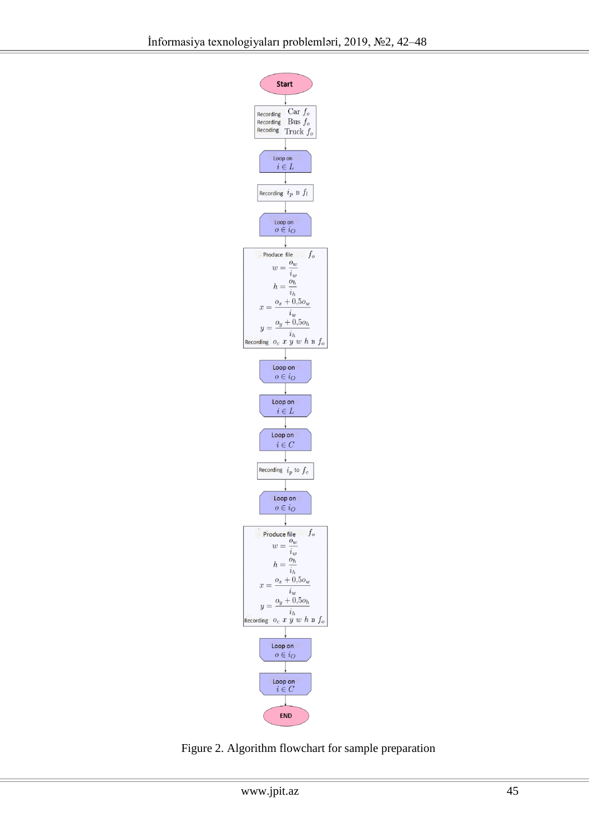

Figure 2. Algorithm flowchart for sample preparation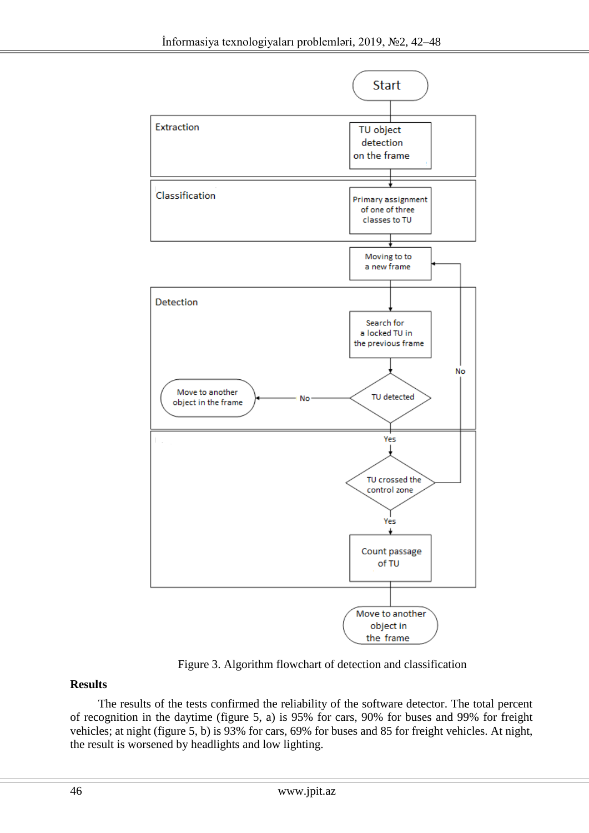

Figure 3. Algorithm flowchart of detection and classification

# **Results**

The results of the tests confirmed the reliability of the software detector. The total percent of recognition in the daytime (figure 5, a) is 95% for cars, 90% for buses and 99% for freight vehicles; at night (figure 5, b) is 93% for cars, 69% for buses and 85 for freight vehicles. At night, the result is worsened by headlights and low lighting.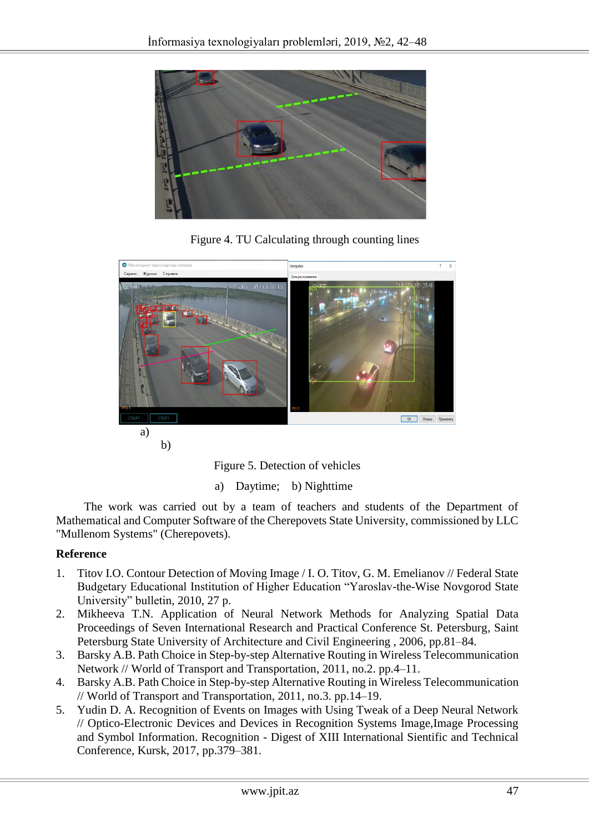

Figure 4. TU Calculating through counting lines



b)

Figure 5. Detection of vehicles

a) Daytime; b) Nighttime

The work was carried out by a team of teachers and students of the Department of Mathematical and Computer Software of the Cherepovets State University, commissioned by LLC "Mullenom Systems" (Cherepovets).

### **Reference**

- 1. Titov I.O. Contour Detection of Moving Image / I. O. Titov, G. M. Emelianov // Federal State Budgetary Educational Institution of Higher Education "Yaroslav-the-Wise Novgorod State University" bulletin, 2010, 27 p.
- 2. Mikheeva T.N. Application of Neural Network Methods for Analyzing Spatial Data Proceedings of Seven International Research and Practical Conference St. Petersburg, Saint Petersburg State University of Architecture and Civil Engineering , 2006, pp.81–84.
- 3. Barsky A.B. Path Choice in Step-by-step Alternative Routing in Wireless Telecommunication Network // World of Transport and Transportation, 2011, no.2. pp.4–11.
- 4. Barsky A.B. Path Choice in Step-by-step Alternative Routing in Wireless Telecommunication // World of Transport and Transportation, 2011, no.3. pp.14–19.
- 5. Yudin D. A. Recognition of Events on Images with Using Tweak of a Deep Neural Network // Optico-Electronic Devices and Devices in Recognition Systems Image,Image Processing and Symbol Information. Recognition - Digest of XIII International Sientific and Technical Conference, Kursk, 2017, pp.379–381.